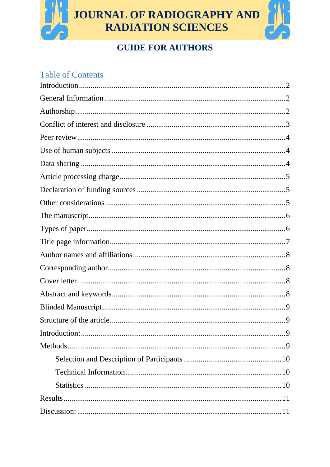

# **GUIDE FOR AUTHORS**

## **Table of Contents**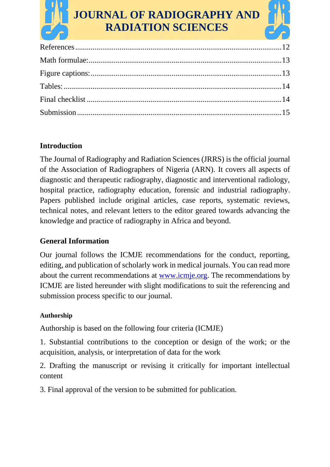

## <span id="page-1-0"></span>**Introduction**

The Journal of Radiography and Radiation Sciences (JRRS) is the official journal of the Association of Radiographers of Nigeria (ARN). It covers all aspects of diagnostic and therapeutic radiography, diagnostic and interventional radiology, hospital practice, radiography education, forensic and industrial radiography. Papers published include original articles, case reports, systematic reviews, technical notes, and relevant letters to the editor geared towards advancing the knowledge and practice of radiography in Africa and beyond.

### <span id="page-1-1"></span>**General Information**

Our journal follows the ICMJE recommendations for the conduct, reporting, editing, and publication of scholarly work in medical journals. You can read more about the current recommendations at [www.icmje.org.](http://www.icmje.org/) The recommendations by ICMJE are listed hereunder with slight modifications to suit the referencing and submission process specific to our journal.

### <span id="page-1-2"></span>**Authorship**

Authorship is based on the following four criteria (ICMJE)

1. Substantial contributions to the conception or design of the work; or the acquisition, analysis, or interpretation of data for the work

2. Drafting the manuscript or revising it critically for important intellectual content

3. Final approval of the version to be submitted for publication.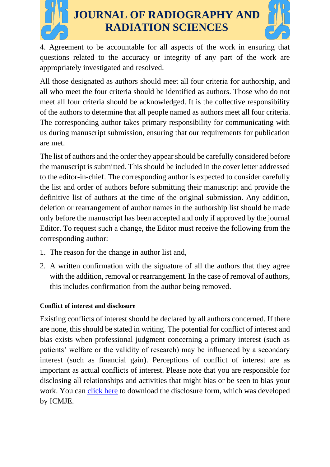

4. Agreement to be accountable for all aspects of the work in ensuring that questions related to the accuracy or integrity of any part of the work are appropriately investigated and resolved.

All those designated as authors should meet all four criteria for authorship, and all who meet the four criteria should be identified as authors. Those who do not meet all four criteria should be acknowledged. It is the collective responsibility of the authors to determine that all people named as authors meet all four criteria. The corresponding author takes primary responsibility for communicating with us during manuscript submission, ensuring that our requirements for publication are met.

The list of authors and the order they appear should be carefully considered before the manuscript is submitted. This should be included in the cover letter addressed to the editor-in-chief. The corresponding author is expected to consider carefully the list and order of authors before submitting their manuscript and provide the definitive list of authors at the time of the original submission. Any addition, deletion or rearrangement of author names in the authorship list should be made only before the manuscript has been accepted and only if approved by the journal Editor. To request such a change, the Editor must receive the following from the corresponding author:

- 1. The reason for the change in author list and,
- 2. A written confirmation with the signature of all the authors that they agree with the addition, removal or rearrangement. In the case of removal of authors, this includes confirmation from the author being removed.

#### <span id="page-2-0"></span>**Conflict of interest and disclosure**

Existing conflicts of interest should be declared by all authors concerned. If there are none, this should be stated in writing. The potential for conflict of interest and bias exists when professional judgment concerning a primary interest (such as patients' welfare or the validity of research) may be influenced by a secondary interest (such as financial gain). Perceptions of conflict of interest are as important as actual conflicts of interest. Please note that you are responsible for disclosing all relationships and activities that might bias or be seen to bias your work. You can [click here](http://www.icmje.org/downloads/coi_disclosure.docx) to download the disclosure form, which was developed by ICMJE.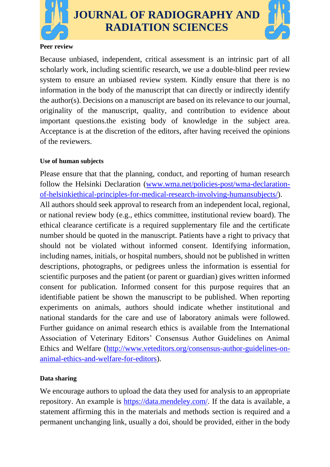

#### <span id="page-3-0"></span>**Peer review**

Because unbiased, independent, critical assessment is an intrinsic part of all scholarly work, including scientific research, we use a double-blind peer review system to ensure an unbiased review system. Kindly ensure that there is no information in the body of the manuscript that can directly or indirectly identify the author(s). Decisions on a manuscript are based on its relevance to our journal, originality of the manuscript, quality, and contribution to evidence about important questions.the existing body of knowledge in the subject area. Acceptance is at the discretion of the editors, after having received the opinions of the reviewers.

#### <span id="page-3-1"></span>**Use of human subjects**

Please ensure that that the planning, conduct, and reporting of human research follow the Helsinki Declaration [\(www.wma.net/policies-post/wma-declaration](http://www.wma.net/policies-post/wma-declaration-of-helsinkiethical-principles-for-medical-research-involving-humansubjects/)[of-helsinkiethical-principles-for-medical-research-involving-humansubjects/\)](http://www.wma.net/policies-post/wma-declaration-of-helsinkiethical-principles-for-medical-research-involving-humansubjects/). All authors should seek approval to research from an independent local, regional, or national review body (e.g., ethics committee, institutional review board). The ethical clearance certificate is a required supplementary file and the certificate number should be quoted in the manuscript. Patients have a right to privacy that should not be violated without informed consent. Identifying information, including names, initials, or hospital numbers, should not be published in written descriptions, photographs, or pedigrees unless the information is essential for scientific purposes and the patient (or parent or guardian) gives written informed consent for publication. Informed consent for this purpose requires that an identifiable patient be shown the manuscript to be published. When reporting experiments on animals, authors should indicate whether institutional and national standards for the care and use of laboratory animals were followed. Further guidance on animal research ethics is available from the International Association of Veterinary Editors' Consensus Author Guidelines on Animal Ethics and Welfare [\(http://www.veteditors.org/consensus-author-guidelines-on](http://www.veteditors.org/consensus-author-guidelines-on-animal-ethics-and-welfare-for-editors)[animal-ethics-and-welfare-for-editors\)](http://www.veteditors.org/consensus-author-guidelines-on-animal-ethics-and-welfare-for-editors).

#### <span id="page-3-2"></span>**Data sharing**

We encourage authors to upload the data they used for analysis to an appropriate repository. An example is [https://data.mendeley.com/.](https://data.mendeley.com/) If the data is available, a statement affirming this in the materials and methods section is required and a permanent unchanging link, usually a doi, should be provided, either in the body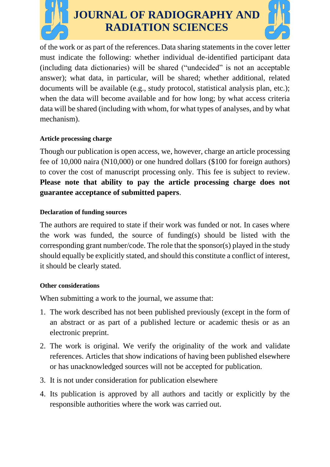

of the work or as part of the references. Data sharing statements in the cover letter must indicate the following: whether individual de-identified participant data (including data dictionaries) will be shared ("undecided" is not an acceptable answer); what data, in particular, will be shared; whether additional, related documents will be available (e.g., study protocol, statistical analysis plan, etc.); when the data will become available and for how long; by what access criteria data will be shared (including with whom, for what types of analyses, and by what mechanism).

### <span id="page-4-0"></span>**Article processing charge**

Though our publication is open access, we, however, charge an article processing fee of 10,000 naira (N10,000) or one hundred dollars (\$100 for foreign authors) to cover the cost of manuscript processing only. This fee is subject to review. **Please note that ability to pay the article processing charge does not guarantee acceptance of submitted papers**.

#### <span id="page-4-1"></span>**Declaration of funding sources**

The authors are required to state if their work was funded or not. In cases where the work was funded, the source of funding(s) should be listed with the corresponding grant number/code. The role that the sponsor(s) played in the study should equally be explicitly stated, and should this constitute a conflict of interest, it should be clearly stated.

#### <span id="page-4-2"></span>**Other considerations**

When submitting a work to the journal, we assume that:

- 1. The work described has not been published previously (except in the form of an abstract or as part of a published lecture or academic thesis or as an electronic preprint.
- 2. The work is original. We verify the originality of the work and validate references. Articles that show indications of having been published elsewhere or has unacknowledged sources will not be accepted for publication.
- 3. It is not under consideration for publication elsewhere
- 4. Its publication is approved by all authors and tacitly or explicitly by the responsible authorities where the work was carried out.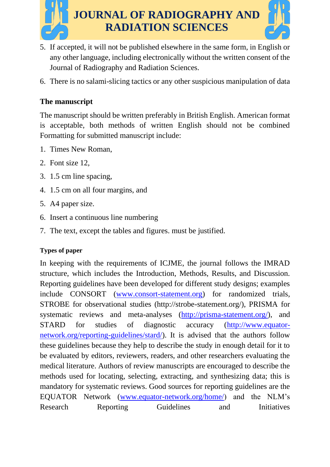

- 5. If accepted, it will not be published elsewhere in the same form, in English or any other language, including electronically without the written consent of the Journal of Radiography and Radiation Sciences.
- 6. There is no salami-slicing tactics or any other suspicious manipulation of data

### <span id="page-5-0"></span>**The manuscript**

The manuscript should be written preferably in British English. American format is acceptable, both methods of written English should not be combined Formatting for submitted manuscript include:

- 1. Times New Roman,
- 2. Font size 12,
- 3. 1.5 cm line spacing,
- 4. 1.5 cm on all four margins, and
- 5. A4 paper size.
- 6. Insert a continuous line numbering
- 7. The text, except the tables and figures. must be justified.

### <span id="page-5-1"></span>**Types of paper**

In keeping with the requirements of ICJME, the journal follows the IMRAD structure, which includes the Introduction, Methods, Results, and Discussion. Reporting guidelines have been developed for different study designs; examples include CONSORT [\(www.consort-statement.org\)](http://www.consort-statement.org/) for randomized trials, STROBE for observational studies (http://strobe-statement.org/), PRISMA for systematic reviews and meta-analyses [\(http://prisma-statement.org/\)](http://prisma-statement.org/), and STARD for studies of diagnostic accuracy [\(http://www.equator](http://www.equator-network.org/reporting-guidelines/stard/)[network.org/reporting-guidelines/stard/\)](http://www.equator-network.org/reporting-guidelines/stard/). It is advised that the authors follow these guidelines because they help to describe the study in enough detail for it to be evaluated by editors, reviewers, readers, and other researchers evaluating the medical literature. Authors of review manuscripts are encouraged to describe the methods used for locating, selecting, extracting, and synthesizing data; this is mandatory for systematic reviews. Good sources for reporting guidelines are the EQUATOR Network [\(www.equator-network.org/home/\)](http://www.equator-network.org/home/) and the NLM's Research Reporting Guidelines and Initiatives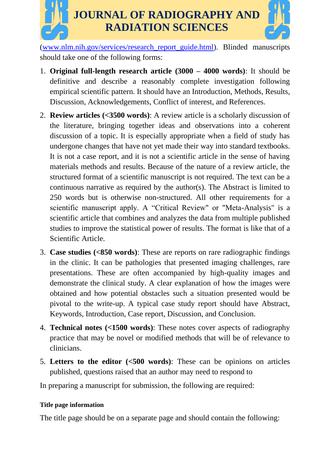

[\(www.nlm.nih.gov/services/research\\_report\\_guide.html\)](http://www.nlm.nih.gov/services/research_report_guide.html). Blinded manuscripts should take one of the following forms:

- 1. **Original full-length research article (3000 – 4000 words)**: It should be definitive and describe a reasonably complete investigation following empirical scientific pattern. It should have an Introduction, Methods, Results, Discussion, Acknowledgements, Conflict of interest, and References.
- 2. **Review articles (<3500 words)**: A review article is a scholarly discussion of the literature, bringing together ideas and observations into a coherent discussion of a topic. It is especially appropriate when a field of study has undergone changes that have not yet made their way into standard textbooks. It is not a case report, and it is not a scientific article in the sense of having materials methods and results. Because of the nature of a review article, the structured format of a scientific manuscript is not required. The text can be a continuous narrative as required by the author(s). The Abstract is limited to 250 words but is otherwise non-structured. All other requirements for a scientific manuscript apply. A "Critical Review" or "Meta-Analysis" is a scientific article that combines and analyzes the data from multiple published studies to improve the statistical power of results. The format is like that of a Scientific Article.
- 3. **Case studies (<850 words)**: These are reports on rare radiographic findings in the clinic. It can be pathologies that presented imaging challenges, rare presentations. These are often accompanied by high-quality images and demonstrate the clinical study. A clear explanation of how the images were obtained and how potential obstacles such a situation presented would be pivotal to the write-up. A typical case study report should have Abstract, Keywords, Introduction, Case report, Discussion, and Conclusion.
- 4. **Technical notes (<1500 words)**: These notes cover aspects of radiography practice that may be novel or modified methods that will be of relevance to clinicians.
- 5. **Letters to the editor (<500 words)**: These can be opinions on articles published, questions raised that an author may need to respond to

In preparing a manuscript for submission, the following are required:

#### <span id="page-6-0"></span>**Title page information**

The title page should be on a separate page and should contain the following: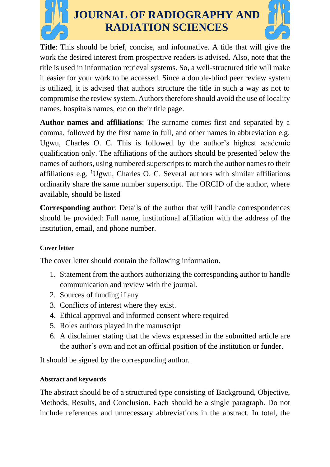

**Title**: This should be brief, concise, and informative. A title that will give the work the desired interest from prospective readers is advised. Also, note that the title is used in information retrieval systems. So, a well-structured title will make it easier for your work to be accessed. Since a double-blind peer review system is utilized, it is advised that authors structure the title in such a way as not to compromise the review system. Authors therefore should avoid the use of locality names, hospitals names, etc on their title page.

<span id="page-7-0"></span>**Author names and affiliations**: The surname comes first and separated by a comma, followed by the first name in full, and other names in abbreviation e.g. Ugwu, Charles O. C. This is followed by the author's highest academic qualification only. The affiliations of the authors should be presented below the names of authors, using numbered superscripts to match the author names to their affiliations e.g. <sup>1</sup>Ugwu, Charles O. C. Several authors with similar affiliations ordinarily share the same number superscript. The ORCID of the author, where available, should be listed

<span id="page-7-1"></span>**Corresponding author**: Details of the author that will handle correspondences should be provided: Full name, institutional affiliation with the address of the institution, email, and phone number.

### <span id="page-7-2"></span>**Cover letter**

The cover letter should contain the following information.

- 1. Statement from the authors authorizing the corresponding author to handle communication and review with the journal.
- 2. Sources of funding if any
- 3. Conflicts of interest where they exist.
- 4. Ethical approval and informed consent where required
- 5. Roles authors played in the manuscript
- 6. A disclaimer stating that the views expressed in the submitted article are the author's own and not an official position of the institution or funder.

It should be signed by the corresponding author.

#### <span id="page-7-3"></span>**Abstract and keywords**

The abstract should be of a structured type consisting of Background, Objective, Methods, Results, and Conclusion. Each should be a single paragraph. Do not include references and unnecessary abbreviations in the abstract. In total, the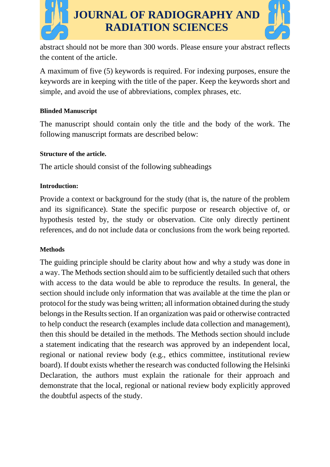

abstract should not be more than 300 words. Please ensure your abstract reflects the content of the article.

A maximum of five (5) keywords is required. For indexing purposes, ensure the keywords are in keeping with the title of the paper. Keep the keywords short and simple, and avoid the use of abbreviations, complex phrases, etc.

#### <span id="page-8-0"></span>**Blinded Manuscript**

The manuscript should contain only the title and the body of the work. The following manuscript formats are described below:

#### <span id="page-8-1"></span>**Structure of the article.**

The article should consist of the following subheadings

#### <span id="page-8-2"></span>**Introduction:**

Provide a context or background for the study (that is, the nature of the problem and its significance). State the specific purpose or research objective of, or hypothesis tested by, the study or observation. Cite only directly pertinent references, and do not include data or conclusions from the work being reported.

#### <span id="page-8-3"></span>**Methods**

The guiding principle should be clarity about how and why a study was done in a way. The Methods section should aim to be sufficiently detailed such that others with access to the data would be able to reproduce the results. In general, the section should include only information that was available at the time the plan or protocol for the study was being written; all information obtained during the study belongs in the Results section. If an organization was paid or otherwise contracted to help conduct the research (examples include data collection and management), then this should be detailed in the methods. The Methods section should include a statement indicating that the research was approved by an independent local, regional or national review body (e.g., ethics committee, institutional review board). If doubt exists whether the research was conducted following the Helsinki Declaration, the authors must explain the rationale for their approach and demonstrate that the local, regional or national review body explicitly approved the doubtful aspects of the study.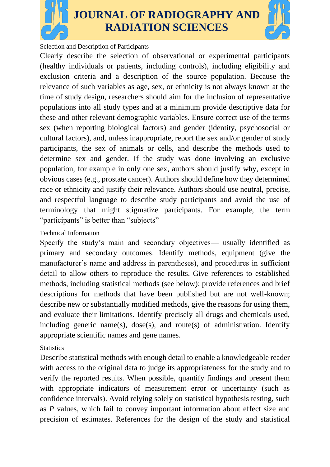

#### <span id="page-9-0"></span>Selection and Description of Participants

Clearly describe the selection of observational or experimental participants (healthy individuals or patients, including controls), including eligibility and exclusion criteria and a description of the source population. Because the relevance of such variables as age, sex, or ethnicity is not always known at the time of study design, researchers should aim for the inclusion of representative populations into all study types and at a minimum provide descriptive data for these and other relevant demographic variables. Ensure correct use of the terms sex (when reporting biological factors) and gender (identity, psychosocial or cultural factors), and, unless inappropriate, report the sex and/or gender of study participants, the sex of animals or cells, and describe the methods used to determine sex and gender. If the study was done involving an exclusive population, for example in only one sex, authors should justify why, except in obvious cases (e.g., prostate cancer). Authors should define how they determined race or ethnicity and justify their relevance. Authors should use neutral, precise, and respectful language to describe study participants and avoid the use of terminology that might stigmatize participants. For example, the term "participants" is better than "subjects"

#### <span id="page-9-1"></span>Technical Information

Specify the study's main and secondary objectives— usually identified as primary and secondary outcomes. Identify methods, equipment (give the manufacturer's name and address in parentheses), and procedures in sufficient detail to allow others to reproduce the results. Give references to established methods, including statistical methods (see below); provide references and brief descriptions for methods that have been published but are not well-known; describe new or substantially modified methods, give the reasons for using them, and evaluate their limitations. Identify precisely all drugs and chemicals used, including generic name(s), dose(s), and route(s) of administration. Identify appropriate scientific names and gene names.

### <span id="page-9-2"></span>**Statistics**

Describe statistical methods with enough detail to enable a knowledgeable reader with access to the original data to judge its appropriateness for the study and to verify the reported results. When possible, quantify findings and present them with appropriate indicators of measurement error or uncertainty (such as confidence intervals). Avoid relying solely on statistical hypothesis testing, such as *P* values, which fail to convey important information about effect size and precision of estimates. References for the design of the study and statistical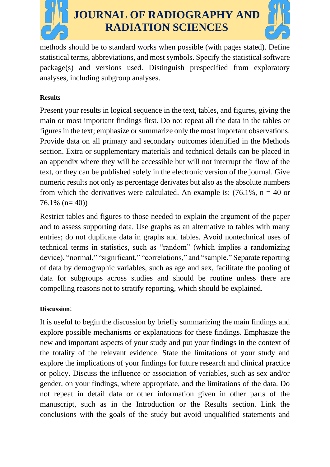

methods should be to standard works when possible (with pages stated). Define statistical terms, abbreviations, and most symbols. Specify the statistical software package(s) and versions used. Distinguish prespecified from exploratory analyses, including subgroup analyses.

### <span id="page-10-0"></span>**Results**

Present your results in logical sequence in the text, tables, and figures, giving the main or most important findings first. Do not repeat all the data in the tables or figures in the text; emphasize or summarize only the most important observations. Provide data on all primary and secondary outcomes identified in the Methods section. Extra or supplementary materials and technical details can be placed in an appendix where they will be accessible but will not interrupt the flow of the text, or they can be published solely in the electronic version of the journal. Give numeric results not only as percentage derivates but also as the absolute numbers from which the derivatives were calculated. An example is:  $(76.1\% \text{ n} = 40 \text{ or }$  $76.1\%$  (n= 40))

Restrict tables and figures to those needed to explain the argument of the paper and to assess supporting data. Use graphs as an alternative to tables with many entries; do not duplicate data in graphs and tables. Avoid nontechnical uses of technical terms in statistics, such as "random" (which implies a randomizing device), "normal," "significant," "correlations," and "sample." Separate reporting of data by demographic variables, such as age and sex, facilitate the pooling of data for subgroups across studies and should be routine unless there are compelling reasons not to stratify reporting, which should be explained.

#### <span id="page-10-1"></span>**Discussion**:

It is useful to begin the discussion by briefly summarizing the main findings and explore possible mechanisms or explanations for these findings. Emphasize the new and important aspects of your study and put your findings in the context of the totality of the relevant evidence. State the limitations of your study and explore the implications of your findings for future research and clinical practice or policy. Discuss the influence or association of variables, such as sex and/or gender, on your findings, where appropriate, and the limitations of the data. Do not repeat in detail data or other information given in other parts of the manuscript, such as in the Introduction or the Results section. Link the conclusions with the goals of the study but avoid unqualified statements and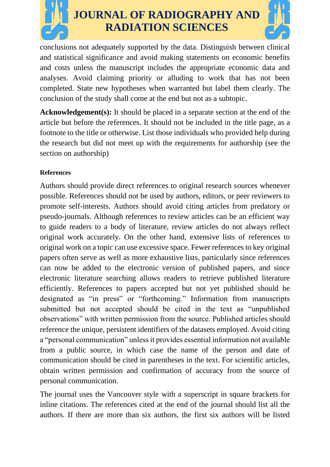

conclusions not adequately supported by the data. Distinguish between clinical and statistical significance and avoid making statements on economic benefits and costs unless the manuscript includes the appropriate economic data and analyses. Avoid claiming priority or alluding to work that has not been completed. State new hypotheses when warranted but label them clearly. The conclusion of the study shall come at the end but not as a subtopic.

**Acknowledgement(s):** It should be placed in a separate section at the end of the article but before the references. It should not be included in the title page, as a footnote to the title or otherwise. List those individuals who provided help during the research but did not meet up with the requirements for authorship (see the section on authorship)

#### <span id="page-11-0"></span>**References**

Authors should provide direct references to original research sources whenever possible. References should not be used by authors, editors, or peer reviewers to promote self-interests. Authors should avoid citing articles from predatory or pseudo-journals. Although references to review articles can be an efficient way to guide readers to a body of literature, review articles do not always reflect original work accurately. On the other hand, extensive lists of references to original work on a topic can use excessive space. Fewer references to key original papers often serve as well as more exhaustive lists, particularly since references can now be added to the electronic version of published papers, and since electronic literature searching allows readers to retrieve published literature efficiently. References to papers accepted but not yet published should be designated as "in press" or "forthcoming." Information from manuscripts submitted but not accepted should be cited in the text as "unpublished observations" with written permission from the source. Published articles should reference the unique, persistent identifiers of the datasets employed. Avoid citing a "personal communication" unless it provides essential information not available from a public source, in which case the name of the person and date of communication should be cited in parentheses in the text. For scientific articles, obtain written permission and confirmation of accuracy from the source of personal communication.

The journal uses the Vancouver style with a superscript in square brackets for inline citations. The references cited at the end of the journal should list all the authors. If there are more than six authors, the first six authors will be listed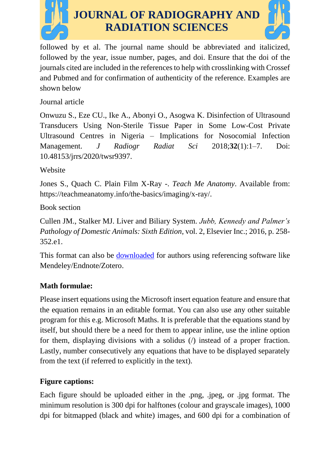

followed by et al. The journal name should be abbreviated and italicized, followed by the year, issue number, pages, and doi. Ensure that the doi of the journals cited are included in the references to help with crosslinking with Crossef and Pubmed and for confirmation of authenticity of the reference. Examples are shown below

Journal article

Onwuzu S., Eze CU., Ike A., Abonyi O., Asogwa K. Disinfection of Ultrasound Transducers Using Non-Sterile Tissue Paper in Some Low-Cost Private Ultrasound Centres in Nigeria – Implications for Nosocomial Infection Management. *J Radiogr Radiat Sci* 2018;**32**(1):1–7. Doi: 10.48153/jrrs/2020/twsr9397.

Website

Jones S., Quach C. Plain Film X-Ray -. *Teach Me Anatomy*. Available from: https://teachmeanatomy.info/the-basics/imaging/x-ray/.

Book section

Cullen JM., Stalker MJ. Liver and Biliary System. *Jubb, Kennedy and Palmer's Pathology of Domestic Animals: Sixth Edition*, vol. 2, Elsevier Inc.; 2016, p. 258- 352.e1.

This format can also be [downloaded](http://www.zotero.org/styles/vancouver-superscript-brackets-only-year) for authors using referencing software like Mendeley/Endnote/Zotero.

### <span id="page-12-0"></span>**Math formulae:**

Please insert equations using the Microsoft insert equation feature and ensure that the equation remains in an editable format. You can also use any other suitable program for this e.g. Microsoft Maths. It is preferable that the equations stand by itself, but should there be a need for them to appear inline, use the inline option for them, displaying divisions with a solidus (/) instead of a proper fraction. Lastly, number consecutively any equations that have to be displayed separately from the text (if referred to explicitly in the text).

### <span id="page-12-1"></span>**Figure captions:**

Each figure should be uploaded either in the .png, .jpeg, or .jpg format. The minimum resolution is 300 dpi for halftones (colour and grayscale images), 1000 dpi for bitmapped (black and white) images, and 600 dpi for a combination of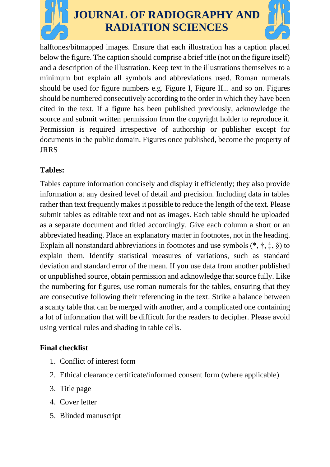

halftones/bitmapped images. Ensure that each illustration has a caption placed below the figure. The caption should comprise a brief title (not on the figure itself) and a description of the illustration. Keep text in the illustrations themselves to a minimum but explain all symbols and abbreviations used. Roman numerals should be used for figure numbers e.g. Figure I, Figure II... and so on. Figures should be numbered consecutively according to the order in which they have been cited in the text. If a figure has been published previously, acknowledge the source and submit written permission from the copyright holder to reproduce it. Permission is required irrespective of authorship or publisher except for documents in the public domain. Figures once published, become the property of JRRS

## <span id="page-13-0"></span>**Tables:**

Tables capture information concisely and display it efficiently; they also provide information at any desired level of detail and precision. Including data in tables rather than text frequently makes it possible to reduce the length of the text. Please submit tables as editable text and not as images. Each table should be uploaded as a separate document and titled accordingly. Give each column a short or an abbreviated heading. Place an explanatory matter in footnotes, not in the heading. Explain all nonstandard abbreviations in footnotes and use symbols  $(*, *, \dot{+}, \dot{})$  to explain them. Identify statistical measures of variations, such as standard deviation and standard error of the mean. If you use data from another published or unpublished source, obtain permission and acknowledge that source fully. Like the numbering for figures, use roman numerals for the tables, ensuring that they are consecutive following their referencing in the text. Strike a balance between a scanty table that can be merged with another, and a complicated one containing a lot of information that will be difficult for the readers to decipher. Please avoid using vertical rules and shading in table cells.

### <span id="page-13-1"></span>**Final checklist**

- 1. Conflict of interest form
- 2. Ethical clearance certificate/informed consent form (where applicable)
- 3. Title page
- 4. Cover letter
- 5. Blinded manuscript